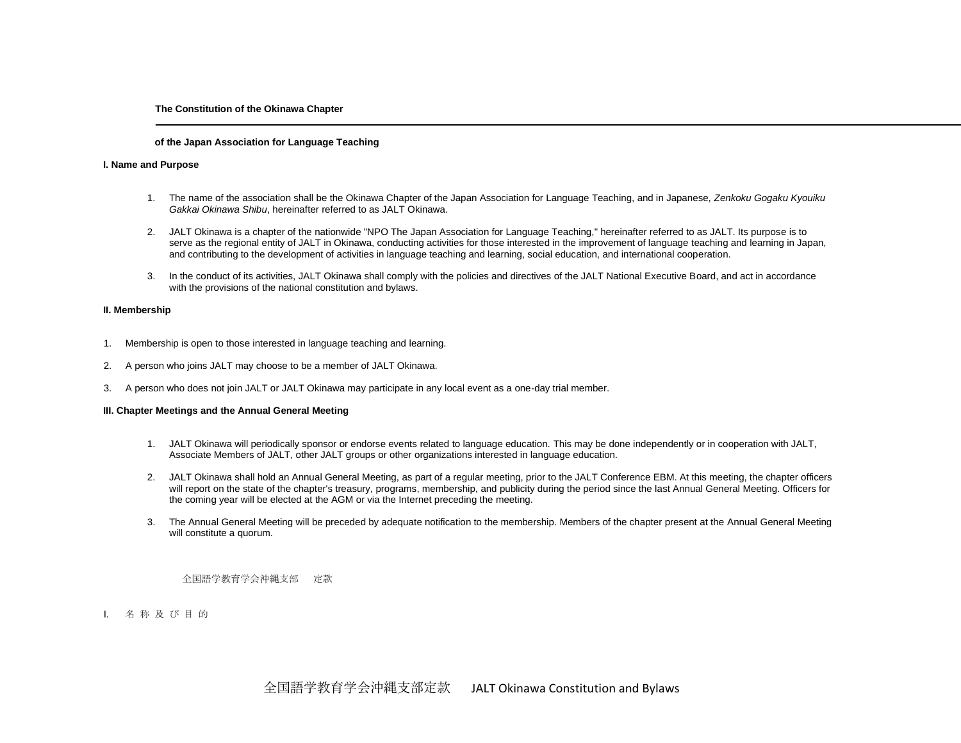# **The Constitution of the Okinawa Chapter**

## **of the Japan Association for Language Teaching**

### **I. Name and Purpose**

- 1. The name of the association shall be the Okinawa Chapter of the Japan Association for Language Teaching, and in Japanese, *Zenkoku Gogaku Kyouiku Gakkai Okinawa Shibu*, hereinafter referred to as JALT Okinawa.
- 2. JALT Okinawa is a chapter of the nationwide "NPO The Japan Association for Language Teaching," hereinafter referred to as JALT. Its purpose is to serve as the regional entity of JALT in Okinawa, conducting activities for those interested in the improvement of language teaching and learning in Japan, and contributing to the development of activities in language teaching and learning, social education, and international cooperation.
- 3. In the conduct of its activities, JALT Okinawa shall comply with the policies and directives of the JALT National Executive Board, and act in accordance with the provisions of the national constitution and bylaws.

# **II. Membership**

- 1. Membership is open to those interested in language teaching and learning.
- 2. A person who joins JALT may choose to be a member of JALT Okinawa.
- 3. A person who does not join JALT or JALT Okinawa may participate in any local event as a one-day trial member.

# **III. Chapter Meetings and the Annual General Meeting**

- 1. JALT Okinawa will periodically sponsor or endorse events related to language education. This may be done independently or in cooperation with JALT, Associate Members of JALT, other JALT groups or other organizations interested in language education.
- 2. JALT Okinawa shall hold an Annual General Meeting, as part of a regular meeting, prior to the JALT Conference EBM. At this meeting, the chapter officers will report on the state of the chapter's treasury, programs, membership, and publicity during the period since the last Annual General Meeting. Officers for the coming year will be elected at the AGM or via the Internet preceding the meeting.
- 3. The Annual General Meeting will be preceded by adequate notification to the membership. Members of the chapter present at the Annual General Meeting will constitute a quorum.

全国語学教育学会沖縄支部 定款

I. 名 称 及 び 目 的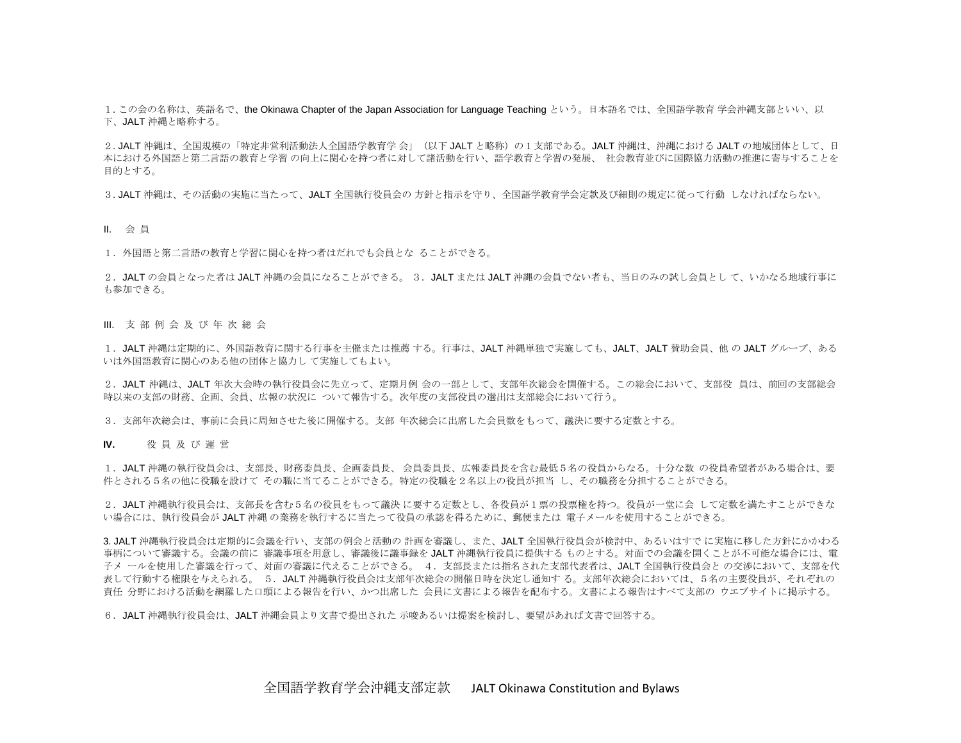1.この会の名称は、英語名で、the Okinawa Chapter of the Japan Association for Language Teaching という。日本語名では、全国語学教育 学会沖縄支部といい、以 下、JALT 沖縄と略称する。

2. JALT 沖縄は、全国規模の「特定非営利活動法人全国語学教育学 会」(以下 JALT と略称)の1支部である。JALT 沖縄は、沖縄における JALT の地域団体として、日 本における外国語と第二言語の教育と学習 の向上に関心を持つ者に対して諸活動を行い、語学教育と学習の発展、 社会教育並びに国際協力活動の推進に寄与することを 目的とする。

3. JALT 沖縄は、その活動の実施に当たって、JALT 全国執行役員会の 方針と指示を守り、全国語学教育学会定款及び細則の規定に従って行動 しなければならない。

II. 会 員

1.外国語と第二言語の教育と学習に関心を持つ者はだれでも会員とな ることができる。

2. JALT の会員となった者は JALT 沖縄の会員になることができる。 3. JALT または JALT 沖縄の会員でない者も、当日のみの試し会員として、いかなる地域行事に も参加できる。

III. 支 部 例 会 及 び 年 次 総 会

1.JALT 沖縄は定期的に、外国語教育に関する行事を主催または推薦 する。行事は、JALT 沖縄単独で実施しても、JALT、JALT 賛助会員、他 の JALT グループ、ある いは外国語教育に関心のある他の団体と協力し て実施してもよい。

2.JALT 沖縄は、JALT 年次大会時の執行役員会に先立って、定期月例 会の一部として、支部年次総会を開催する。この総会において、支部役 員は、前回の支部総会 時以来の支部の財務、企画、会員、広報の状況に ついて報告する。次年度の支部役員の選出は支部総会において行う。

3.支部年次総会は、事前に会員に周知させた後に開催する。支部 年次総会に出席した会員数をもって、議決に要する定数とする。

**IV.** 役 員 及 び 運 営

1.JALT 沖縄の執行役員会は、支部長、財務委員長、企画委員長、 会員委員長、広報委員長を含む最低5名の役員からなる。十分な数 の役員希望者がある場合は、要 件とされる5名の他に役職を設けて その職に当てることができる。特定の役職を2名以上の役員が担当 し、その職務を分担することができる。

2. JALT 沖縄執行役員会は、支部長を含む5名の役員をもって議決 に要する定数とし、各役員が1票の投票権を持つ。役員が一堂に会 して定数を満たすことができな い場合には、執行役員会が JALT 沖縄 の業務を執行するに当たって役員の承認を得るために、郵便または 電子メールを使用することができる。

3. JALT 沖縄執行役員会は定期的に会議を行い、支部の例会と活動の 計画を審議し、また、JALT 全国執行役員会が検討中、あるいはすで に実施に移した方針にかかわる 事柄について審議する。会議の前に 審議事項を用意し、審議後に議事録を JALT 沖縄執行役員に提供する ものとする。対面での会議を開くことが不可能な場合には、電 子メ ールを使用した審議を行って、対面の審議に代えることができる。 4.支部長または指名された支部代表者は、JALT 全国執行役員会と の交渉において、支部を代 表して行動する権限を与えられる。 5.JALT 沖縄執行役員会は支部年次総会の開催日時を決定し通知す る。支部年次総会においては、5名の主要役員が、それぞれの 責任 分野における活動を網羅した口頭による報告を行い、かつ出席した 会員に文書による報告を配布する。文書による報告はすべて支部の ウエブサイトに掲示する。

6.JALT 沖縄執行役員会は、JALT 沖縄会員より文書で提出された 示唆あるいは提案を検討し、要望があれば文書で回答する。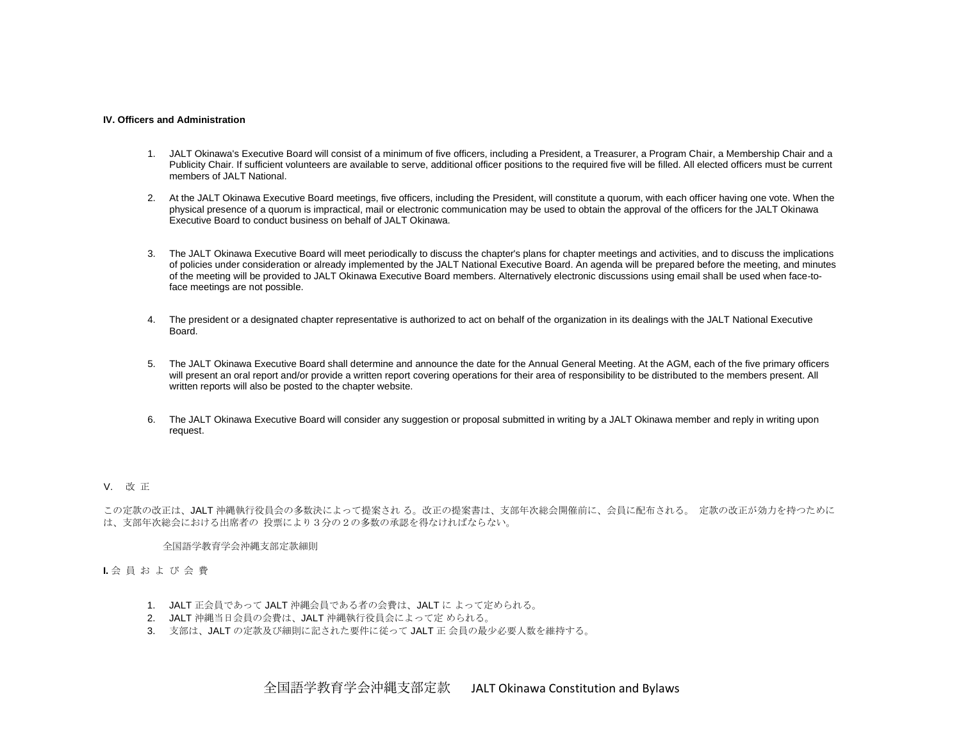#### **IV. Officers and Administration**

- 1. JALT Okinawa's Executive Board will consist of a minimum of five officers, including a President, a Treasurer, a Program Chair, a Membership Chair and a Publicity Chair. If sufficient volunteers are available to serve, additional officer positions to the required five will be filled. All elected officers must be current members of JALT National.
- 2. At the JALT Okinawa Executive Board meetings, five officers, including the President, will constitute a quorum, with each officer having one vote. When the physical presence of a quorum is impractical, mail or electronic communication may be used to obtain the approval of the officers for the JALT Okinawa Executive Board to conduct business on behalf of JALT Okinawa.
- 3. The JALT Okinawa Executive Board will meet periodically to discuss the chapter's plans for chapter meetings and activities, and to discuss the implications of policies under consideration or already implemented by the JALT National Executive Board. An agenda will be prepared before the meeting, and minutes of the meeting will be provided to JALT Okinawa Executive Board members. Alternatively electronic discussions using email shall be used when face-toface meetings are not possible.
- 4. The president or a designated chapter representative is authorized to act on behalf of the organization in its dealings with the JALT National Executive Board.
- 5. The JALT Okinawa Executive Board shall determine and announce the date for the Annual General Meeting. At the AGM, each of the five primary officers will present an oral report and/or provide a written report covering operations for their area of responsibility to be distributed to the members present. All written reports will also be posted to the chapter website.
- 6. The JALT Okinawa Executive Board will consider any suggestion or proposal submitted in writing by a JALT Okinawa member and reply in writing upon request.

# V. 改 正

この定款の改正は、JALT 沖縄執行役員会の多数決によって提案され る。改正の提案書は、支部年次総会開催前に、会員に配布される。 定款の改正が効力を持つために は、支部年次総会における出席者の 投票により3分の2の多数の承認を得なければならない。

### 全国語学教育学会沖縄支部定款細則

# **I.** 会 員 お よ び 会 費

- 1. JALT 正会員であって JALT 沖縄会員である者の会費は、JALT に よって定められる。
- 2. JALT 沖縄当日会員の会費は、JALT 沖縄執行役員会によって定 められる。
- 3. 支部は、JALT の定款及び細則に記された要件に従って JALT 正 会員の最少必要人数を維持する。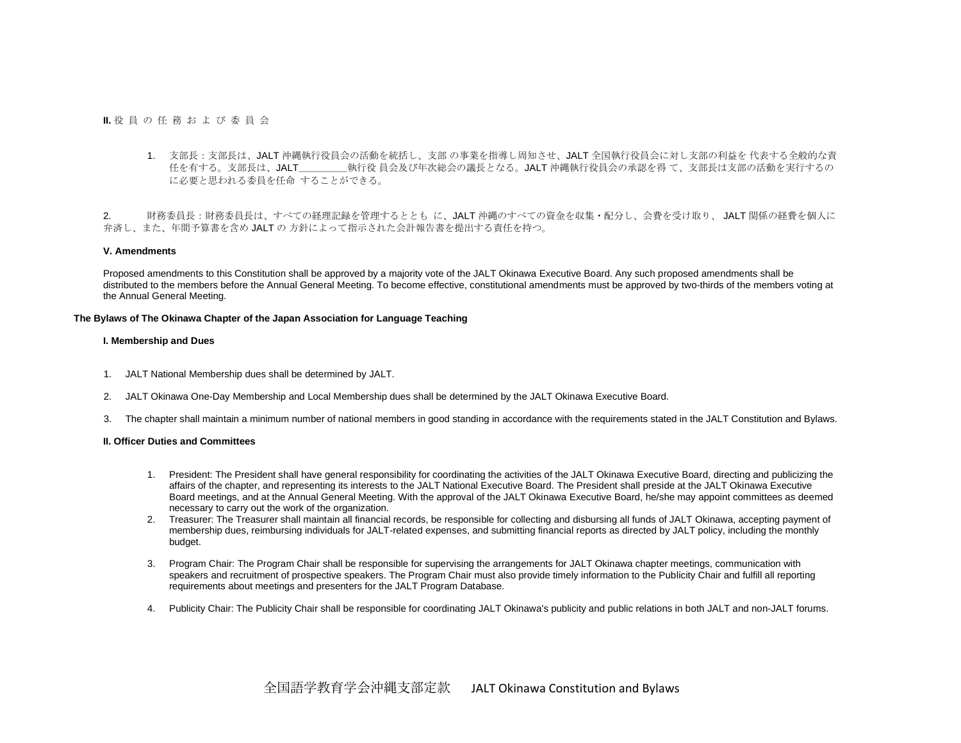**II.** 役 員 の 任 務 お よ び 委 員 会

1. 支部長:支部長は、JALT 沖縄執行役員会の活動を統括し、支部 の事業を指導し周知させ、JALT 全国執行役員会に対し支部の利益を 代表する全般的な責 任を有する。支部長は、JALT\_\_\_\_\_\_\_\_\_執行役員会及び年次総会の議長となる。JALT 沖縄執行役員会の承認を得 て、支部長は支部の活動を実行するの に必要と思われる委員を任命 することができる。

2. 財務委員長:財務委員長は、すべての経理記録を管理するととも に、JALT 沖縄のすべての資金を収集・配分し、会費を受け取り、 JALT 関係の経費を個人に 弁済し、また、年間予算書を含め JALT の 方針によって指示された会計報告書を提出する責任を持つ。

## **V. Amendments**

Proposed amendments to this Constitution shall be approved by a majority vote of the JALT Okinawa Executive Board. Any such proposed amendments shall be distributed to the members before the Annual General Meeting. To become effective, constitutional amendments must be approved by two-thirds of the members voting at the Annual General Meeting.

## **The Bylaws of The Okinawa Chapter of the Japan Association for Language Teaching**

# **I. Membership and Dues**

- 1. JALT National Membership dues shall be determined by JALT.
- 2. JALT Okinawa One-Day Membership and Local Membership dues shall be determined by the JALT Okinawa Executive Board.
- 3. The chapter shall maintain a minimum number of national members in good standing in accordance with the requirements stated in the JALT Constitution and Bylaws.

# **II. Officer Duties and Committees**

- 1. President: The President shall have general responsibility for coordinating the activities of the JALT Okinawa Executive Board, directing and publicizing the affairs of the chapter, and representing its interests to the JALT National Executive Board. The President shall preside at the JALT Okinawa Executive Board meetings, and at the Annual General Meeting. With the approval of the JALT Okinawa Executive Board, he/she may appoint committees as deemed necessary to carry out the work of the organization.
- 2. Treasurer: The Treasurer shall maintain all financial records, be responsible for collecting and disbursing all funds of JALT Okinawa, accepting payment of membership dues, reimbursing individuals for JALT-related expenses, and submitting financial reports as directed by JALT policy, including the monthly budget.
- 3. Program Chair: The Program Chair shall be responsible for supervising the arrangements for JALT Okinawa chapter meetings, communication with speakers and recruitment of prospective speakers. The Program Chair must also provide timely information to the Publicity Chair and fulfill all reporting requirements about meetings and presenters for the JALT Program Database.
- 4. Publicity Chair: The Publicity Chair shall be responsible for coordinating JALT Okinawa's publicity and public relations in both JALT and non-JALT forums.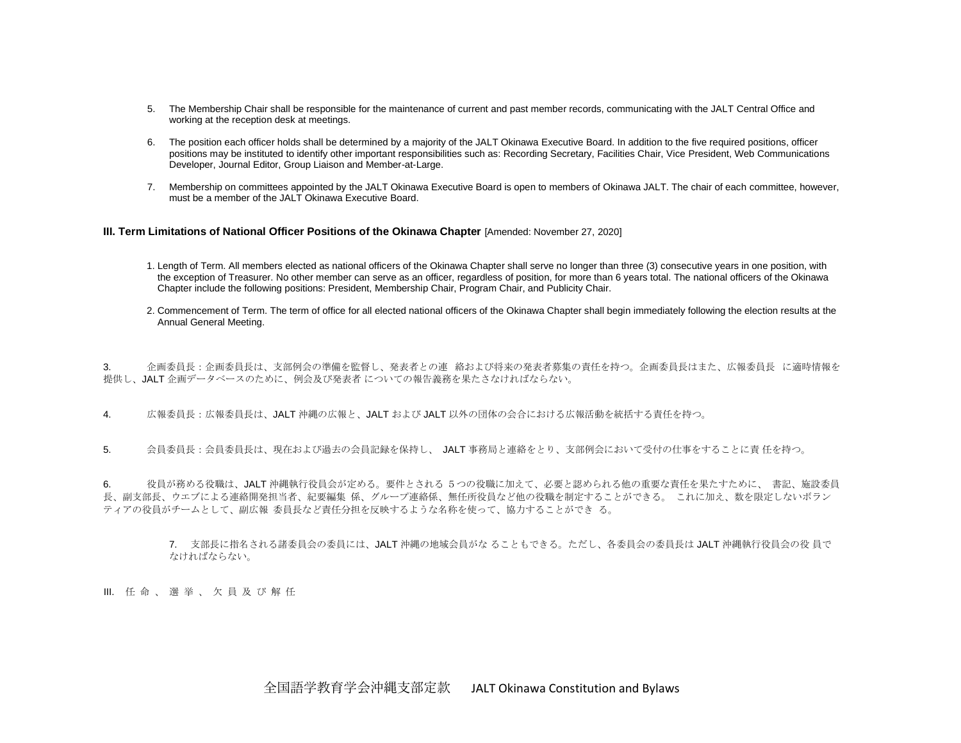- 5. The Membership Chair shall be responsible for the maintenance of current and past member records, communicating with the JALT Central Office and working at the reception desk at meetings.
- 6. The position each officer holds shall be determined by a majority of the JALT Okinawa Executive Board. In addition to the five required positions, officer positions may be instituted to identify other important responsibilities such as: Recording Secretary, Facilities Chair, Vice President, Web Communications Developer, Journal Editor, Group Liaison and Member-at-Large.
- 7. Membership on committees appointed by the JALT Okinawa Executive Board is open to members of Okinawa JALT. The chair of each committee, however, must be a member of the JALT Okinawa Executive Board.

# **III. Term Limitations of National Officer Positions of the Okinawa Chapter** [Amended: November 27, 2020]

- 1. Length of Term. All members elected as national officers of the Okinawa Chapter shall serve no longer than three (3) consecutive years in one position, with the exception of Treasurer. No other member can serve as an officer, regardless of position, for more than 6 years total. The national officers of the Okinawa Chapter include the following positions: President, Membership Chair, Program Chair, and Publicity Chair.
- 2. Commencement of Term. The term of office for all elected national officers of the Okinawa Chapter shall begin immediately following the election results at the Annual General Meeting.

3. 企画委員長:企画委員長は、支部例会の準備を監督し、発表者との連 絡および将来の発表者募集の責任を持つ。企画委員長はまた、広報委員長 に適時情報を 提供し、JALT 企画データベースのために、例会及び発表者 についての報告義務を果たさなければならない。

4. 広報委員長:広報委員長は、JALT 沖縄の広報と、JALT および JALT 以外の団体の会合における広報活動を統括する責任を持つ。

5. 会員委員長:会員委員長は、現在および過去の会員記録を保持し、 JALT 事務局と連絡をとり、支部例会において受付の仕事をすることに責 任を持つ。

6. 役員が務める役職は、JALT 沖縄執行役員会が定める。要件とされる 5つの役職に加えて、必要と認められる他の重要な責任を果たすために、 書記、施設委員 長、副支部長、ウエブによる連絡開発担当者、紀要編集 係、グループ連絡係、無任所役員など他の役職を制定することができる。 これに加え、数を限定しないボラン ティアの役員がチームとして、副広報 委員長など責任分担を反映するような名称を使って、協力することができ る。

7. 支部長に指名される諸委員会の委員には、JALT 沖縄の地域会員がな ることもできる。ただし、各委員会の委員長は JALT 沖縄執行役員会の役 員で なければならない。

ⅡⅠ. 任 命 、 選 挙 、 欠 昌 及 び 解 任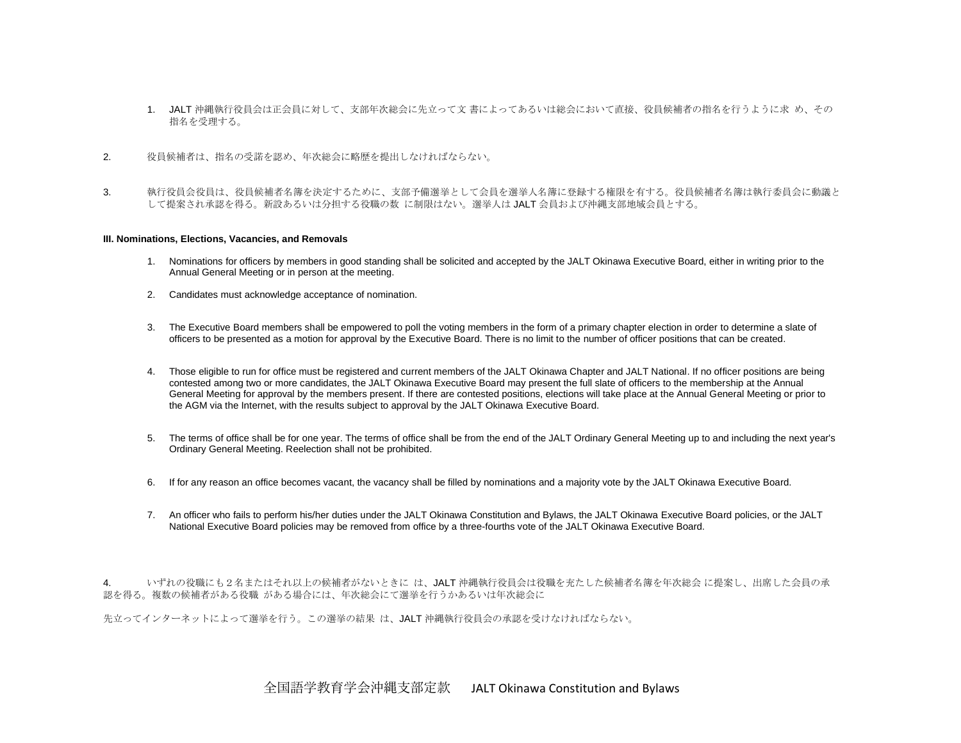- 1. JALT 沖縄執行役員会は正会員に対して、支部年次総会に先立って文 書によってあるいは総会において直接、役員候補者の指名を行うように求 め、その 指名を受理する。
- 2. 役員候補者は、指名の受諾を認め、年次総会に略歴を提出しなければならない。
- 3. ネ行役員会役員は、役員候補者名簿を決定するために、支部予備選挙として会員を選挙人名簿に登録する権限を有する。役員候補者名簿は執行委員会に動議と して提案され承認を得る。新設あるいは分担する役職の数 に制限はない。選挙人は JALT 会員および沖縄支部地域会員とする。

## **III. Nominations, Elections, Vacancies, and Removals**

- 1. Nominations for officers by members in good standing shall be solicited and accepted by the JALT Okinawa Executive Board, either in writing prior to the Annual General Meeting or in person at the meeting.
- 2. Candidates must acknowledge acceptance of nomination.
- 3. The Executive Board members shall be empowered to poll the voting members in the form of a primary chapter election in order to determine a slate of officers to be presented as a motion for approval by the Executive Board. There is no limit to the number of officer positions that can be created.
- 4. Those eligible to run for office must be registered and current members of the JALT Okinawa Chapter and JALT National. If no officer positions are being contested among two or more candidates, the JALT Okinawa Executive Board may present the full slate of officers to the membership at the Annual General Meeting for approval by the members present. If there are contested positions, elections will take place at the Annual General Meeting or prior to the AGM via the Internet, with the results subject to approval by the JALT Okinawa Executive Board.
- 5. The terms of office shall be for one year. The terms of office shall be from the end of the JALT Ordinary General Meeting up to and including the next year's Ordinary General Meeting. Reelection shall not be prohibited.
- 6. If for any reason an office becomes vacant, the vacancy shall be filled by nominations and a majority vote by the JALT Okinawa Executive Board.
- 7. An officer who fails to perform his/her duties under the JALT Okinawa Constitution and Bylaws, the JALT Okinawa Executive Board policies, or the JALT National Executive Board policies may be removed from office by a three-fourths vote of the JALT Okinawa Executive Board.

4. いずれの役職にも2名またはそれ以上の候補者がないときに は、JALT 沖縄執行役員会は役職を充たした候補者名簿を年次総会 に提案し、出席した会員の承 認を得る。複数の候補者がある役職 がある場合には、年次総会にて選挙を行うかあるいは年次総会に

先立ってインターネットによって選挙を行う。この選挙の結果 は、JALT 沖縄執行役員会の承認を受けなければならない。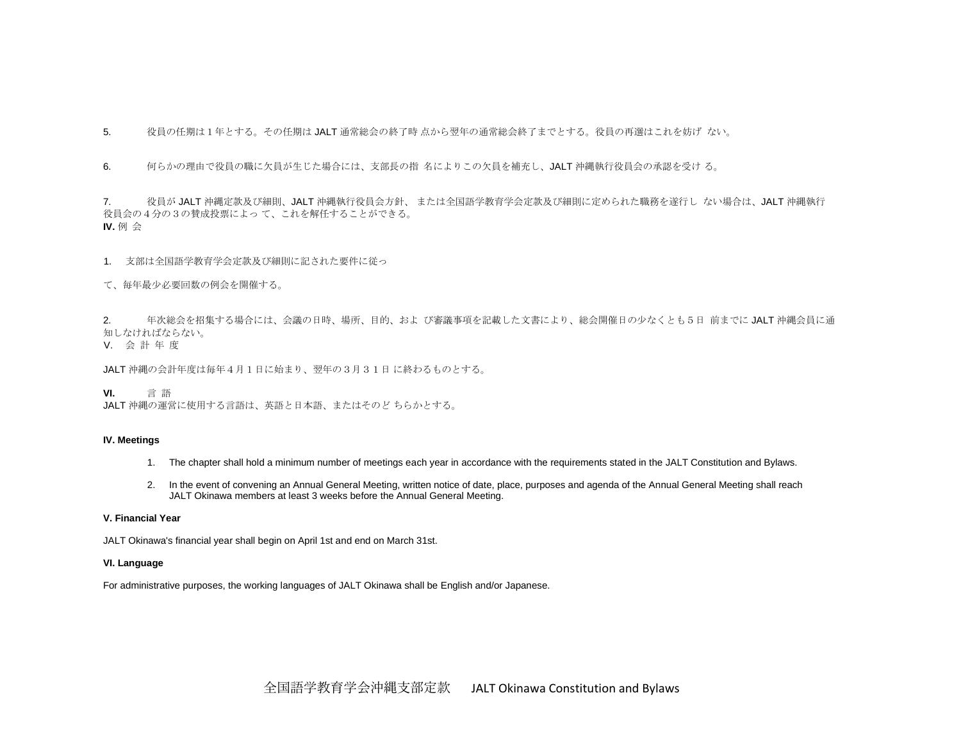5. 役員の任期は1年とする。その任期は JALT 通常総会の終了時 点から翌年の通常総会終了までとする。役員の再選はこれを妨げ ない。

6. 何らかの理由で役員の職に欠員が生じた場合には、支部長の指 名によりこの欠員を補充し、JALT 沖縄執行役員会の承認を受け る。

7. 役員が JALT 沖縄定款及び細則、JALT 沖縄執行役員会方針、 または全国語学教育学会定款及び細則に定められた職務を遂行し ない場合は、JALT 沖縄執行 役員会の4分の3の賛成投票によっ て、これを解任することができる。 **IV.** 例 会

1. 支部は全国語学教育学会定款及び細則に記された要件に従っ

て、毎年最少必要回数の例会を開催する。

2. 年次総会を招集する場合には、会議の日時、場所、目的、およ び審議事項を記載した文書により、総会開催日の少なくとも5日 前までに JALT 沖縄会員に通 知しなければならない。

V. 会 計 年 度

JALT 沖縄の会計年度は毎年4月1日に始まり、翌年の3月31日 に終わるものとする。

**VI.** 言 語

JALT 沖縄の運営に使用する言語は、英語と日本語、またはそのど ちらかとする。

# **IV. Meetings**

- 1. The chapter shall hold a minimum number of meetings each year in accordance with the requirements stated in the JALT Constitution and Bylaws.
- 2. In the event of convening an Annual General Meeting, written notice of date, place, purposes and agenda of the Annual General Meeting shall reach JALT Okinawa members at least 3 weeks before the Annual General Meeting.

# **V. Financial Year**

JALT Okinawa's financial year shall begin on April 1st and end on March 31st.

# **VI. Language**

For administrative purposes, the working languages of JALT Okinawa shall be English and/or Japanese.